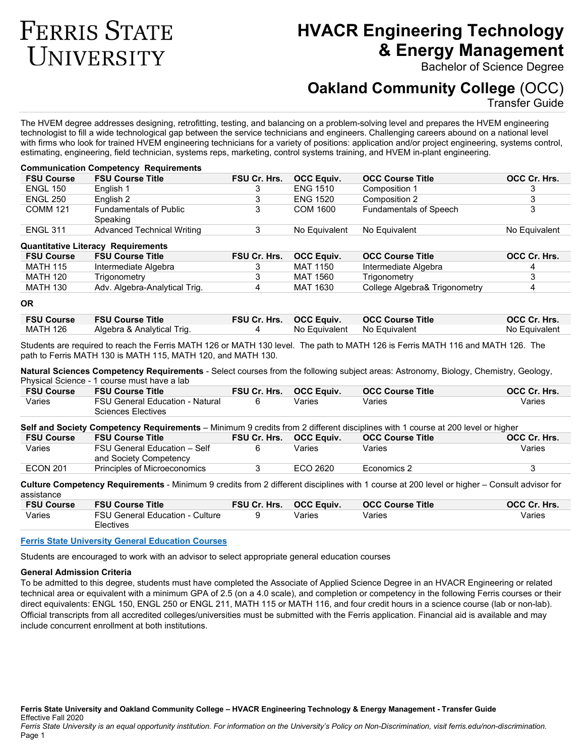# **FERRIS STATE** UNIVERSITY

# **HVACR Engineering Technology & Energy Management**

Bachelor of Science Degree

# **Oakland Community College** (OCC)

Transfer Guide

The HVEM degree addresses designing, retrofitting, testing, and balancing on a problem-solving level and prepares the HVEM engineering technologist to fill a wide technological gap between the service technicians and engineers. Challenging careers abound on a national level with firms who look for trained HVEM engineering technicians for a variety of positions: application and/or project engineering, systems control, estimating, engineering, field technician, systems reps, marketing, control systems training, and HVEM in-plant engineering.

# **Communication Competency Requirements**

| <b>FSU Course</b> | <b>FSU Course Title</b>                   | <b>FSU Cr. Hrs.</b> | <b>OCC Equiv.</b> | <b>OCC Course Title</b>       | OCC Cr. Hrs.  |
|-------------------|-------------------------------------------|---------------------|-------------------|-------------------------------|---------------|
| <b>ENGL 150</b>   | English 1                                 |                     | <b>ENG 1510</b>   | Composition 1                 |               |
| <b>ENGL 250</b>   | English 2                                 |                     | <b>ENG 1520</b>   | Composition 2                 |               |
| <b>COMM 121</b>   | <b>Fundamentals of Public</b><br>Speaking |                     | COM 1600          | <b>Fundamentals of Speech</b> |               |
| <b>ENGL 311</b>   | Advanced Technical Writing                |                     | No Equivalent     | No Equivalent                 | No Equivalent |

#### **Quantitative Literacy Requirements**

| <b>FSU Course</b> | <b>FSU Course Title</b>       | FSU Cr. Hrs. | <b>OCC Equiv.</b> | <b>OCC Course Title</b>       | OCC Cr. Hrs. |
|-------------------|-------------------------------|--------------|-------------------|-------------------------------|--------------|
| <b>MATH 115</b>   | Intermediate Algebra          |              | MAT 1150          | Intermediate Algebra          |              |
| MATH 120          | Trigonometrv                  |              | MAT 1560          | Trigonometrv                  |              |
| <b>MATH 130</b>   | Adv. Algebra-Analytical Trig. |              | MAT 1630          | College Algebra& Trigonometry |              |

#### **OR**

|          | <b>FSU Course FSU Course Title</b> | <b>FSU Cr. Hrs. OCC Equiv.</b> | <b>OCC Course Title</b> | OCC Cr. Hrs.  |
|----------|------------------------------------|--------------------------------|-------------------------|---------------|
| MATH 126 | Algebra & Analytical Trig.         | No Equivalent No Equivalent    |                         | No Equivalent |

Students are required to reach the Ferris MATH 126 or MATH 130 level. The path to MATH 126 is Ferris MATH 116 and MATH 126. The path to Ferris MATH 130 is MATH 115, MATH 120, and MATH 130.

**Natural Sciences Competency Requirements** - Select courses from the following subject areas: Astronomy, Biology, Chemistry, Geology, Physical Science - 1 course must have a lab

| <b>FSU Course</b> | <b>FSU Course Title</b>                | <b>FSU Cr. Hrs. OCC Equiv.</b> |        | <b>OCC Course Title</b> | OCC Cr. Hrs. |
|-------------------|----------------------------------------|--------------------------------|--------|-------------------------|--------------|
| Varies            | <b>FSU General Education - Natural</b> |                                | Varies | Varies                  | Varies       |
|                   | Sciences Electives                     |                                |        |                         |              |

**Self and Society Competency Requirements** – Minimum 9 credits from 2 different disciplines with 1 course at 200 level or higher

| <b>FSU Course</b> | <b>FSU Course Title</b>                                | <b>FSU Cr. Hrs.</b> | <b>OCC Equiv.</b> | <b>OCC Course Title</b> | OCC Cr. Hrs. |
|-------------------|--------------------------------------------------------|---------------------|-------------------|-------------------------|--------------|
| Varies            | FSU General Education - Self<br>and Society Competency |                     | Varies            | Varies                  | Varies       |
| <b>ECON 201</b>   | Principles of Microeconomics                           |                     | ECO 2620          | Economics 2             |              |

**Culture Competency Requirements** - Minimum 9 credits from 2 different disciplines with 1 course at 200 level or higher – Consult advisor for assistance

| <b>FSU Course</b> | <b>FSU Course Title</b>                             | <b>FSU Cr. Hrs.</b> | <b>OCC Equiv.</b> | <b>OCC Course Title</b> | OCC Cr. Hrs. |
|-------------------|-----------------------------------------------------|---------------------|-------------------|-------------------------|--------------|
| Varies            | <b>FSU General Education - Culture</b><br>Electives |                     | Varies            | Varies                  | Varies       |

## **[Ferris State University General Education Courses](https://ferris.edu/HTMLS/academics/gened/courses.htm)**

Students are encouraged to work with an advisor to select appropriate general education courses

# **General Admission Criteria**

To be admitted to this degree, students must have completed the Associate of Applied Science Degree in an HVACR Engineering or related technical area or equivalent with a minimum GPA of 2.5 (on a 4.0 scale), and completion or competency in the following Ferris courses or their direct equivalents: ENGL 150, ENGL 250 or ENGL 211, MATH 115 or MATH 116, and four credit hours in a science course (lab or non-lab). Official transcripts from all accredited colleges/universities must be submitted with the Ferris application. Financial aid is available and may include concurrent enrollment at both institutions.

**Ferris State University and Oakland Community College – HVACR Engineering Technology & Energy Management - Transfer Guide** Effective Fall 2020

*Ferris State University is an equal opportunity institution. For information on the University's Policy on Non-Discrimination, visit ferris.edu/non-discrimination.* Page 1